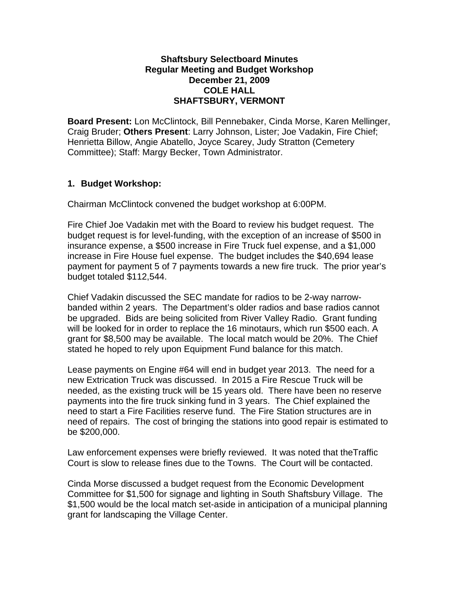### **Shaftsbury Selectboard Minutes Regular Meeting and Budget Workshop December 21, 2009 COLE HALL SHAFTSBURY, VERMONT**

**Board Present:** Lon McClintock, Bill Pennebaker, Cinda Morse, Karen Mellinger, Craig Bruder; **Others Present**: Larry Johnson, Lister; Joe Vadakin, Fire Chief; Henrietta Billow, Angie Abatello, Joyce Scarey, Judy Stratton (Cemetery Committee); Staff: Margy Becker, Town Administrator.

## **1. Budget Workshop:**

Chairman McClintock convened the budget workshop at 6:00PM.

Fire Chief Joe Vadakin met with the Board to review his budget request. The budget request is for level-funding, with the exception of an increase of \$500 in insurance expense, a \$500 increase in Fire Truck fuel expense, and a \$1,000 increase in Fire House fuel expense. The budget includes the \$40,694 lease payment for payment 5 of 7 payments towards a new fire truck. The prior year's budget totaled \$112,544.

Chief Vadakin discussed the SEC mandate for radios to be 2-way narrowbanded within 2 years. The Department's older radios and base radios cannot be upgraded. Bids are being solicited from River Valley Radio. Grant funding will be looked for in order to replace the 16 minotaurs, which run \$500 each. A grant for \$8,500 may be available. The local match would be 20%. The Chief stated he hoped to rely upon Equipment Fund balance for this match.

Lease payments on Engine #64 will end in budget year 2013. The need for a new Extrication Truck was discussed. In 2015 a Fire Rescue Truck will be needed, as the existing truck will be 15 years old. There have been no reserve payments into the fire truck sinking fund in 3 years. The Chief explained the need to start a Fire Facilities reserve fund. The Fire Station structures are in need of repairs. The cost of bringing the stations into good repair is estimated to be \$200,000.

Law enforcement expenses were briefly reviewed. It was noted that theTraffic Court is slow to release fines due to the Towns. The Court will be contacted.

Cinda Morse discussed a budget request from the Economic Development Committee for \$1,500 for signage and lighting in South Shaftsbury Village. The \$1,500 would be the local match set-aside in anticipation of a municipal planning grant for landscaping the Village Center.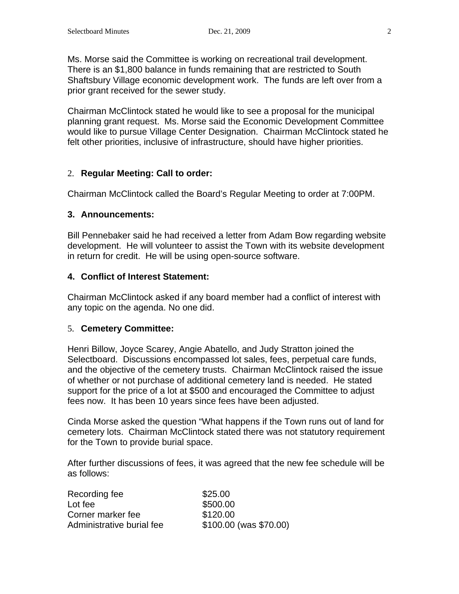Ms. Morse said the Committee is working on recreational trail development. There is an \$1,800 balance in funds remaining that are restricted to South Shaftsbury Village economic development work. The funds are left over from a prior grant received for the sewer study.

Chairman McClintock stated he would like to see a proposal for the municipal planning grant request. Ms. Morse said the Economic Development Committee would like to pursue Village Center Designation. Chairman McClintock stated he felt other priorities, inclusive of infrastructure, should have higher priorities.

## 2. **Regular Meeting: Call to order:**

Chairman McClintock called the Board's Regular Meeting to order at 7:00PM.

### **3. Announcements:**

Bill Pennebaker said he had received a letter from Adam Bow regarding website development. He will volunteer to assist the Town with its website development in return for credit. He will be using open-source software.

### **4. Conflict of Interest Statement:**

Chairman McClintock asked if any board member had a conflict of interest with any topic on the agenda. No one did.

### 5. **Cemetery Committee:**

Henri Billow, Joyce Scarey, Angie Abatello, and Judy Stratton joined the Selectboard. Discussions encompassed lot sales, fees, perpetual care funds, and the objective of the cemetery trusts. Chairman McClintock raised the issue of whether or not purchase of additional cemetery land is needed. He stated support for the price of a lot at \$500 and encouraged the Committee to adjust fees now. It has been 10 years since fees have been adjusted.

Cinda Morse asked the question "What happens if the Town runs out of land for cemetery lots. Chairman McClintock stated there was not statutory requirement for the Town to provide burial space.

After further discussions of fees, it was agreed that the new fee schedule will be as follows:

| Recording fee             | \$25.00                   |
|---------------------------|---------------------------|
| Lot fee                   | \$500.00                  |
| Corner marker fee         | \$120.00                  |
| Administrative burial fee | $$100.00$ (was $$70.00$ ) |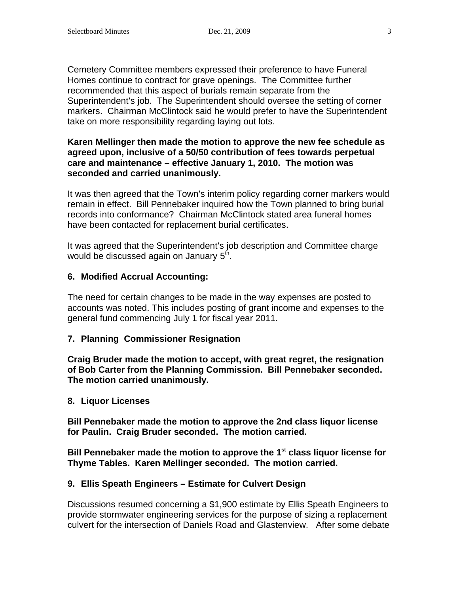Cemetery Committee members expressed their preference to have Funeral Homes continue to contract for grave openings. The Committee further recommended that this aspect of burials remain separate from the Superintendent's job. The Superintendent should oversee the setting of corner markers. Chairman McClintock said he would prefer to have the Superintendent take on more responsibility regarding laying out lots.

### **Karen Mellinger then made the motion to approve the new fee schedule as agreed upon, inclusive of a 50/50 contribution of fees towards perpetual care and maintenance – effective January 1, 2010. The motion was seconded and carried unanimously.**

It was then agreed that the Town's interim policy regarding corner markers would remain in effect. Bill Pennebaker inquired how the Town planned to bring burial records into conformance? Chairman McClintock stated area funeral homes have been contacted for replacement burial certificates.

It was agreed that the Superintendent's job description and Committee charge would be discussed again on January  $5<sup>th</sup>$ .

## **6. Modified Accrual Accounting:**

The need for certain changes to be made in the way expenses are posted to accounts was noted. This includes posting of grant income and expenses to the general fund commencing July 1 for fiscal year 2011.

## **7. Planning Commissioner Resignation**

**Craig Bruder made the motion to accept, with great regret, the resignation of Bob Carter from the Planning Commission. Bill Pennebaker seconded. The motion carried unanimously.** 

### **8. Liquor Licenses**

**Bill Pennebaker made the motion to approve the 2nd class liquor license for Paulin. Craig Bruder seconded. The motion carried.**

**Bill Pennebaker made the motion to approve the 1st class liquor license for Thyme Tables. Karen Mellinger seconded. The motion carried.**

### **9. Ellis Speath Engineers – Estimate for Culvert Design**

Discussions resumed concerning a \$1,900 estimate by Ellis Speath Engineers to provide stormwater engineering services for the purpose of sizing a replacement culvert for the intersection of Daniels Road and Glastenview. After some debate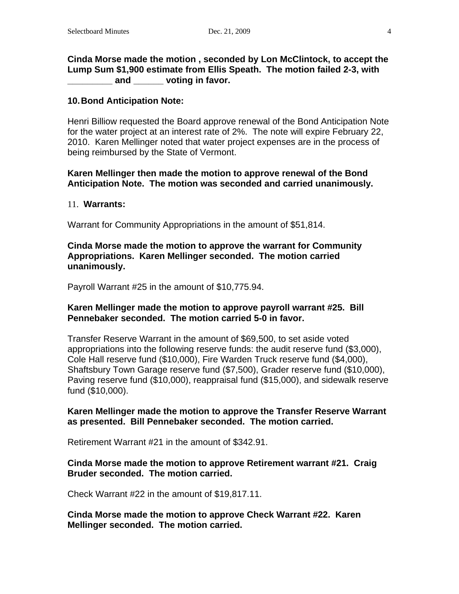**Cinda Morse made the motion , seconded by Lon McClintock, to accept the Lump Sum \$1,900 estimate from Ellis Speath. The motion failed 2-3, with \_\_\_\_\_\_\_\_\_ and \_\_\_\_\_\_ voting in favor.**

#### **10.Bond Anticipation Note:**

Henri Billiow requested the Board approve renewal of the Bond Anticipation Note for the water project at an interest rate of 2%. The note will expire February 22, 2010. Karen Mellinger noted that water project expenses are in the process of being reimbursed by the State of Vermont.

### **Karen Mellinger then made the motion to approve renewal of the Bond Anticipation Note. The motion was seconded and carried unanimously.**

#### 11. **Warrants:**

Warrant for Community Appropriations in the amount of \$51,814.

#### **Cinda Morse made the motion to approve the warrant for Community Appropriations. Karen Mellinger seconded. The motion carried unanimously.**

Payroll Warrant #25 in the amount of \$10,775.94.

#### **Karen Mellinger made the motion to approve payroll warrant #25. Bill Pennebaker seconded. The motion carried 5-0 in favor.**

Transfer Reserve Warrant in the amount of \$69,500, to set aside voted appropriations into the following reserve funds: the audit reserve fund (\$3,000), Cole Hall reserve fund (\$10,000), Fire Warden Truck reserve fund (\$4,000), Shaftsbury Town Garage reserve fund (\$7,500), Grader reserve fund (\$10,000), Paving reserve fund (\$10,000), reappraisal fund (\$15,000), and sidewalk reserve fund (\$10,000).

#### **Karen Mellinger made the motion to approve the Transfer Reserve Warrant as presented. Bill Pennebaker seconded. The motion carried.**

Retirement Warrant #21 in the amount of \$342.91.

#### **Cinda Morse made the motion to approve Retirement warrant #21. Craig Bruder seconded. The motion carried.**

Check Warrant #22 in the amount of \$19,817.11.

**Cinda Morse made the motion to approve Check Warrant #22. Karen Mellinger seconded. The motion carried.**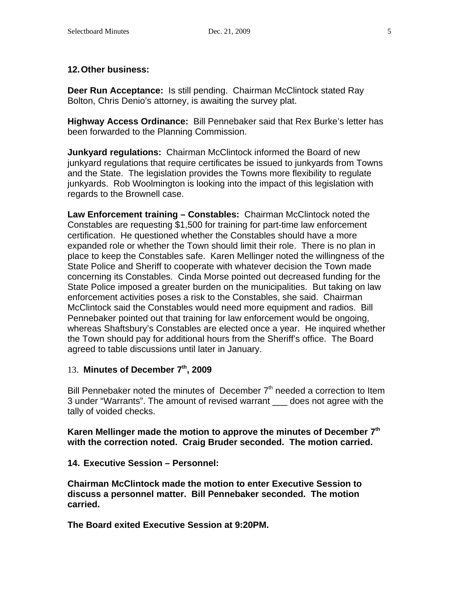## **12.Other business:**

**Deer Run Acceptance:** Is still pending. Chairman McClintock stated Ray Bolton, Chris Denio's attorney, is awaiting the survey plat.

**Highway Access Ordinance:** Bill Pennebaker said that Rex Burke's letter has been forwarded to the Planning Commission.

**Junkyard regulations:** Chairman McClintock informed the Board of new junkyard regulations that require certificates be issued to junkyards from Towns and the State. The legislation provides the Towns more flexibility to regulate junkyards. Rob Woolmington is looking into the impact of this legislation with regards to the Brownell case.

**Law Enforcement training – Constables:** Chairman McClintock noted the Constables are requesting \$1,500 for training for part-time law enforcement certification. He questioned whether the Constables should have a more expanded role or whether the Town should limit their role. There is no plan in place to keep the Constables safe. Karen Mellinger noted the willingness of the State Police and Sheriff to cooperate with whatever decision the Town made concerning its Constables. Cinda Morse pointed out decreased funding for the State Police imposed a greater burden on the municipalities. But taking on law enforcement activities poses a risk to the Constables, she said. Chairman McClintock said the Constables would need more equipment and radios. Bill Pennebaker pointed out that training for law enforcement would be ongoing, whereas Shaftsbury's Constables are elected once a year. He inquired whether the Town should pay for additional hours from the Sheriff's office. The Board agreed to table discussions until later in January.

## 13. **Minutes of December 7th, 2009**

Bill Pennebaker noted the minutes of December  $7<sup>th</sup>$  needed a correction to Item 3 under "Warrants". The amount of revised warrant \_\_\_ does not agree with the tally of voided checks.

**Karen Mellinger made the motion to approve the minutes of December 7th with the correction noted. Craig Bruder seconded. The motion carried.**

### **14. Executive Session – Personnel:**

**Chairman McClintock made the motion to enter Executive Session to discuss a personnel matter. Bill Pennebaker seconded. The motion carried.**

**The Board exited Executive Session at 9:20PM.**